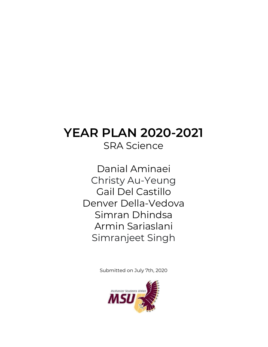# **YEAR PLAN 2020-2021** SRA Science

Danial Aminaei Christy [Au-Yeung](https://www.facebook.com/100004036262672) Gail Del Castillo Denver Della-Vedova Simran Dhindsa Armin Sariaslani [Simranjeet](https://www.facebook.com/100021814663304) Singh

Submitted on July 7th, 2020

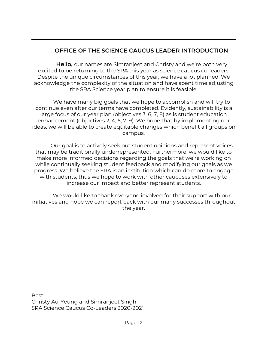## **OFFICE OF THE SCIENCE CAUCUS LEADER INTRODUCTION**

**Hello,** our names are Simranjeet and Christy and we're both very excited to be returning to the SRA this year as science caucus co-leaders. Despite the unique circumstances of this year, we have a lot planned. We acknowledge the complexity of the situation and have spent time adjusting the SRA Science year plan to ensure it is feasible.

We have many big goals that we hope to accomplish and will try to continue even after our terms have completed. Evidently, sustainability is a large focus of our year plan (objectives 3, 6, 7, 8) as is student education enhancement (objectives 2, 4, 5, 7, 9). We hope that by implementing our ideas, we will be able to create equitable changes which benefit all groups on campus.

Our goal is to actively seek out student opinions and represent voices that may be traditionally underrepresented. Furthermore, we would like to make more informed decisions regarding the goals that we're working on while continually seeking student feedback and modifying our goals as we progress. We believe the SRA is an institution which can do more to engage with students, thus we hope to work with other caucuses extensively to increase our impact and better represent students.

We would like to thank everyone involved for their support with our initiatives and hope we can report back with our many successes throughout the year.

Best, Christy Au-Yeung and Simranjeet Singh SRA Science Caucus Co-Leaders 2020-2021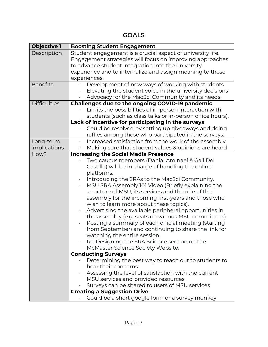**GOALS**

| <b>Objective 1</b>  | <b>Boosting Student Engagement</b>                                                                                     |
|---------------------|------------------------------------------------------------------------------------------------------------------------|
| Description         | Student engagement is a crucial aspect of university life.<br>Engagement strategies will focus on improving approaches |
|                     | to advance student integration into the university                                                                     |
|                     | experience and to internalize and assign meaning to those                                                              |
|                     | experiences.                                                                                                           |
| <b>Benefits</b>     | Development of new ways of working with students                                                                       |
|                     | Elevating the student voice in the university decisions                                                                |
|                     | Advocacy for the MacSci Community and its needs                                                                        |
| <b>Difficulties</b> | <b>Challenges due to the ongoing COVID-19 pandemic</b>                                                                 |
|                     | Limits the possibilities of in-person interaction with                                                                 |
|                     | students (such as class talks or in-person office hours).                                                              |
|                     | Lack of incentive for participating in the surveys                                                                     |
|                     | Could be resolved by setting up giveaways and doing                                                                    |
|                     | raffles among those who participated in the surveys.                                                                   |
| Long-term           | Increased satisfaction from the work of the assembly                                                                   |
| implications        | Making sure that student values & opinions are heard                                                                   |
| How?                | <b>Increasing the Social Media Presence</b>                                                                            |
|                     | Two caucus members (Danial Aminaei & Gail Del                                                                          |
|                     | Castillo) will be in charge of handling the online                                                                     |
|                     | platforms.                                                                                                             |
|                     | Introducing the SRAs to the MacSci Community.                                                                          |
|                     | MSU SRA Assembly 101 Video (Briefly explaining the                                                                     |
|                     | structure of MSU, its services and the role of the                                                                     |
|                     | assembly for the incoming first-years and those who                                                                    |
|                     | wish to learn more about these topics).                                                                                |
|                     | Advertising the available peripheral opportunities in                                                                  |
|                     | the assembly (e.g. seats on various MSU committees).                                                                   |
|                     | Posting a summary of each official meeting (starting                                                                   |
|                     | from September) and continuing to share the link for                                                                   |
|                     | watching the entire session.                                                                                           |
|                     | Re-Designing the SRA Science section on the                                                                            |
|                     | McMaster Science Society Website.                                                                                      |
|                     | <b>Conducting Surveys</b><br>Determining the best way to reach out to students to                                      |
|                     | hear their concerns.                                                                                                   |
|                     | Assessing the level of satisfaction with the current                                                                   |
|                     | MSU services and provided resources.                                                                                   |
|                     | Surveys can be shared to users of MSU services                                                                         |
|                     | <b>Creating a Suggestion Drive</b>                                                                                     |
|                     | Could be a short google form or a survey monkey                                                                        |
|                     |                                                                                                                        |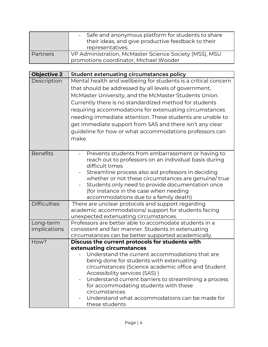|                 | - Safe and anonymous platform for students to share<br>their ideas, and give productive feedback to their<br>representatives. |
|-----------------|-------------------------------------------------------------------------------------------------------------------------------|
| <b>Partners</b> | VP Administration, McMaster Science Society (MSS), MSU<br>promotions coordinator, Michael Wooder                              |

| <b>Objective 2</b>        | <b>Student extenuating circumstances policy</b>                                                                                                                                                                                                                                                                                                                                                                                                                                                   |
|---------------------------|---------------------------------------------------------------------------------------------------------------------------------------------------------------------------------------------------------------------------------------------------------------------------------------------------------------------------------------------------------------------------------------------------------------------------------------------------------------------------------------------------|
| Description               | Mental health and wellbeing for students is a critical concern<br>that should be addressed by all levels of government,<br>McMaster University, and the McMaster Students Union.<br>Currently there is no standardized method for students<br>requiring accommodations for extenuating circumstances<br>needing immediate attention. These students are unable to<br>get immediate support from SAS and there isn't any clear<br>guideline for how or what accommodations professors can<br>make. |
| <b>Benefits</b>           | Prevents students from embarrassment or having to<br>reach out to professors on an individual basis during<br>difficult times<br>Streamline process also aid professors in deciding<br>whether or not these circumstances are genuine/true<br>Students only need to provide documentation once<br>(for instance in the case when needing<br>accommodations due to a family death)                                                                                                                 |
| <b>Difficulties</b>       | There are unclear protocols and support regarding<br>academic accommodations/support for students facing<br>unexpected extenuating circumstances.                                                                                                                                                                                                                                                                                                                                                 |
| Long-term<br>implications | Professors are better able to accomodate students in a<br>consistent and fair manner. Students in extenuating                                                                                                                                                                                                                                                                                                                                                                                     |
|                           | circumstances can be better supported academically.                                                                                                                                                                                                                                                                                                                                                                                                                                               |
| How?                      | Discuss the current protocols for students with<br>extenuating circumstances<br>Understand the current accommodations that are<br>being done for students with extenuating<br>circumstances (Science academic office and Student<br>Accessibility services (SAS))<br>Understand current barriers to streamlining a process<br>for accommodating students with these<br>circumstances<br>Understand what accommodations can be made for<br>these students                                          |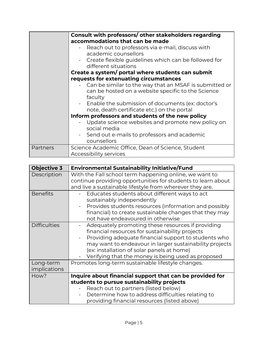|          | Consult with professors/ other stakeholders regarding                                                                   |
|----------|-------------------------------------------------------------------------------------------------------------------------|
|          | accommodations that can be made                                                                                         |
|          | Reach out to professors via e-mail, discuss with<br>academic counsellors                                                |
|          | - Create flexible guidelines which can be followed for<br>different situations                                          |
|          | Create a system/ portal where students can submit                                                                       |
|          | requests for extenuating circumstances                                                                                  |
|          | Can be similar to the way that an MSAF is submitted or<br>can be hosted on a website specific to the Science<br>faculty |
|          | - Enable the submission of documents (ex: doctor's<br>note, death certificate etc.) on the portal                       |
|          | Inform professors and students of the new policy                                                                        |
|          | Update science websites and promote new policy on<br>social media                                                       |
|          | Send out e-mails to professors and academic<br>counsellors                                                              |
| Partners | Science Academic Office, Dean of Science, Student                                                                       |
|          | Accessibility services                                                                                                  |

| <b>Objective 3</b>        | <b>Environmental Sustainability Initiative/Fund</b>                                                                                                                                                                                                                                                                         |
|---------------------------|-----------------------------------------------------------------------------------------------------------------------------------------------------------------------------------------------------------------------------------------------------------------------------------------------------------------------------|
| Description               | With the Fall school term happening online, we want to<br>continue providing opportunities for students to learn about<br>and live a sustainable lifestyle from wherever they are.                                                                                                                                          |
| <b>Benefits</b>           | Educates students about different ways to act<br>sustainably independently<br>Provides students resources (information and possibly<br>$\overline{\phantom{a}}$<br>financial) to create sustainable changes that they may<br>not have endeavoured in otherwise                                                              |
| <b>Difficulties</b>       | Adequately promoting these resources if providing<br>financial resources for sustainability projects<br>Providing adequate financial support to students who<br>may want to endeavour in larger sustainability projects<br>(ex: installation of solar panels at home)<br>Verifying that the money is being used as proposed |
| Long-term<br>implications | Promotes long-term sustainable lifestyle changes.                                                                                                                                                                                                                                                                           |
| How?                      | Inquire about financial support that can be provided for<br>students to pursue sustainability projects<br>Reach out to partners (listed below)                                                                                                                                                                              |
|                           | Determine how to address difficulties relating to<br>providing financial resources (listed above)                                                                                                                                                                                                                           |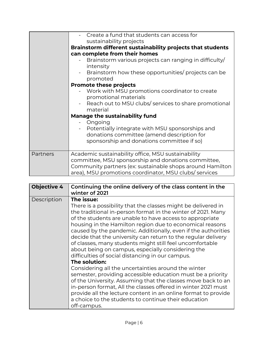|          | - Create a fund that students can access for<br>sustainability projects                                            |
|----------|--------------------------------------------------------------------------------------------------------------------|
|          | Brainstorm different sustainability projects that students                                                         |
|          | can complete from their homes                                                                                      |
|          | Brainstorm various projects can ranging in difficulty/<br>intensity                                                |
|          | Brainstorm how these opportunities/ projects can be<br>promoted                                                    |
|          | <b>Promote these projects</b>                                                                                      |
|          | Work with MSU promotions coordinator to create<br>promotional materials                                            |
|          | - Reach out to MSU clubs/ services to share promotional<br>material                                                |
|          | <b>Manage the sustainability fund</b>                                                                              |
|          | - Ongoing                                                                                                          |
|          | Potentially integrate with MSU sponsorships and                                                                    |
|          | donations committee (amend description for                                                                         |
|          | sponsorship and donations committee if so)                                                                         |
| Partners | Academic sustainability office, MSU sustainability                                                                 |
|          | committee, MSU sponsorship and donations committee,                                                                |
|          | Community partners (ex: sustainable shops around Hamilton<br>area), MSU promotions coordinator, MSU clubs/services |
|          |                                                                                                                    |

| <b>Objective 4</b> | Continuing the online delivery of the class content in the<br>winter of 2021                                                                                                                                                                                                                                                                                                                                                                                                                                                                                                                                                                                                                                                                                                                                                                                                                                                                                                                |
|--------------------|---------------------------------------------------------------------------------------------------------------------------------------------------------------------------------------------------------------------------------------------------------------------------------------------------------------------------------------------------------------------------------------------------------------------------------------------------------------------------------------------------------------------------------------------------------------------------------------------------------------------------------------------------------------------------------------------------------------------------------------------------------------------------------------------------------------------------------------------------------------------------------------------------------------------------------------------------------------------------------------------|
| Description        | The issue:<br>There is a possibility that the classes might be delivered in<br>the traditional in-person format in the winter of 2021. Many<br>of the students are unable to have access to appropriate<br>housing in the Hamilton region due to economical reasons<br>caused by the pandemic. Additionally, even if the authorities<br>decide that the university can return to the regular delivery<br>of classes, many students might still feel uncomfortable<br>about being on campus, especially considering the<br>difficulties of social distancing in our campus.<br>The solution:<br>Considering all the uncertainties around the winter<br>semester, providing accessible education must be a priority<br>of the University. Assuming that the classes move back to an<br>in-person format, All the classes offered in winter 2021 must<br>provide all the lecture content in an online format to provide<br>a choice to the students to continue their education<br>off-campus. |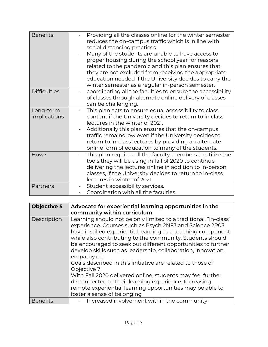| <b>Benefits</b>           | Providing all the classes online for the winter semester<br>reduces the on-campus traffic which is in line with<br>social distancing practices.<br>Many of the students are unable to have access to<br>proper housing during the school year for reasons<br>related to the pandemic and this plan ensures that<br>they are not excluded from receiving the appropriate<br>education needed if the University decides to carry the<br>winter semester as a regular in-person semester. |
|---------------------------|----------------------------------------------------------------------------------------------------------------------------------------------------------------------------------------------------------------------------------------------------------------------------------------------------------------------------------------------------------------------------------------------------------------------------------------------------------------------------------------|
| <b>Difficulties</b>       | coordinating all the faculties to ensure the accessibility<br>of classes through alternate online delivery of classes<br>can be challenging.                                                                                                                                                                                                                                                                                                                                           |
| Long-term<br>implications | This plan acts to ensure equal accessibility to class<br>content if the University decides to return to in class<br>lectures in the winter of 2021.<br>Additionally this plan ensures that the on-campus<br>traffic remains low even if the University decides to<br>return to in-class lectures by providing an alternate<br>online form of education to many of the students.                                                                                                        |
| How?                      | This plan requires all the faculty members to utilize the<br>tools they will be using in fall of 2020 to continue<br>delivering the lectures online in addition to in-person<br>classes, if the University decides to return to in-class<br>lectures in winter of 2021.                                                                                                                                                                                                                |
| Partners                  | Student accessibility services.<br>Coordination with all the faculties.                                                                                                                                                                                                                                                                                                                                                                                                                |

| <b>Objective 5</b> | Advocate for experiential learning opportunities in the                                                                                                                                                                                                                                                                                                                                                                                                                                                                                                                                                                                                                                                    |
|--------------------|------------------------------------------------------------------------------------------------------------------------------------------------------------------------------------------------------------------------------------------------------------------------------------------------------------------------------------------------------------------------------------------------------------------------------------------------------------------------------------------------------------------------------------------------------------------------------------------------------------------------------------------------------------------------------------------------------------|
|                    | community within curriculum                                                                                                                                                                                                                                                                                                                                                                                                                                                                                                                                                                                                                                                                                |
| Description        | Learning should not be only limited to a traditional, "in-class"<br>experience. Courses such as Psych 2NF3 and Science 2P03<br>have instilled experiential learning as a teaching component<br>while also contributing to the community. Students should<br>be encouraged to seek out different opportunities to further<br>develop skills such as leadership, collaboration, innovation,<br>empathy etc.<br>Goals described in this initiative are related to those of<br>Objective 7.<br>With Fall 2020 delivered online, students may feel further<br>disconnected to their learning experience. Increasing<br>remote experiential learning opportunities may be able to<br>foster a sense of belonging |
| <b>Benefits</b>    | Increased involvement within the community                                                                                                                                                                                                                                                                                                                                                                                                                                                                                                                                                                                                                                                                 |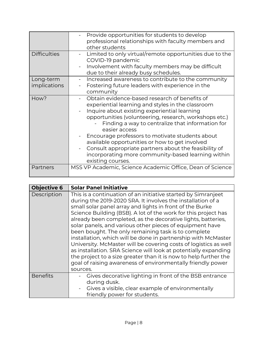|                     | Provide opportunities for students to develop<br>professional relationships with faculty members and |
|---------------------|------------------------------------------------------------------------------------------------------|
|                     | other students                                                                                       |
| <b>Difficulties</b> | Limited to only virtual/remote opportunities due to the<br>COVID-19 pandemic                         |
|                     | Involvement with faculty members may be difficult<br>due to their already busy schedules.            |
| Long-term           | Increased awareness to contribute to the community                                                   |
| implications        | Fostering future leaders with experience in the                                                      |
|                     | community                                                                                            |
| How?                | Obtain evidence-based research of benefits of                                                        |
|                     | experiential learning and styles in the classroom                                                    |
|                     | Inquire about existing experiential learning                                                         |
|                     | opportunities (volunteering, research, workshops etc.)                                               |
|                     | Finding a way to centralize that information for<br>easier access                                    |
|                     | Encourage professors to motivate students about                                                      |
|                     | available opportunities or how to get involved                                                       |
|                     | Consult appropriate partners about the feasibility of                                                |
|                     | incorporating more community-based learning within                                                   |
|                     | existing courses.                                                                                    |
| Partners            | MSS VP Academic, Science Academic Office, Dean of Science                                            |
|                     |                                                                                                      |

| <b>Objective 6</b> | <b>Solar Panel Initiative</b>                                                                                                                                                                                                                                                                                                                                                                                                                                                                                                                                                                                                                                                                                                                                                                        |
|--------------------|------------------------------------------------------------------------------------------------------------------------------------------------------------------------------------------------------------------------------------------------------------------------------------------------------------------------------------------------------------------------------------------------------------------------------------------------------------------------------------------------------------------------------------------------------------------------------------------------------------------------------------------------------------------------------------------------------------------------------------------------------------------------------------------------------|
| Description        | This is a continuation of an initiative started by Simranjeet<br>during the 2019-2020 SRA. It involves the installation of a<br>small solar panel array and lights in front of the Burke<br>Science Building (BSB). A lot of the work for this project has<br>already been completed, as the decorative lights, batteries,<br>solar panels, and various other pieces of equipment have<br>been bought. The only remaining task is to complete<br>installation, which will be done in partnership with McMaster<br>University. McMaster will be covering costs of logistics as well<br>as installation. SRA Science will look at potentially expanding<br>the project to a size greater than it is now to help further the<br>goal of raising awareness of environmentally friendly power<br>sources. |
| <b>Benefits</b>    | Gives decorative lighting in front of the BSB entrance<br>during dusk.<br>Gives a visible, clear example of environmentally<br>friendly power for students.                                                                                                                                                                                                                                                                                                                                                                                                                                                                                                                                                                                                                                          |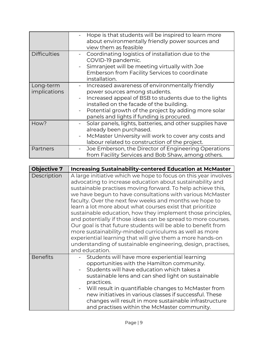|                           | Hope is that students will be inspired to learn more<br>about environmentally friendly power sources and<br>view them as feasible                                                                                                                                                          |
|---------------------------|--------------------------------------------------------------------------------------------------------------------------------------------------------------------------------------------------------------------------------------------------------------------------------------------|
| <b>Difficulties</b>       | Coordinating logistics of installation due to the<br>COVID-19 pandemic.<br>Simranjeet will be meeting virtually with Joe<br>Emberson from Facility Services to coordinate<br>installation.                                                                                                 |
| Long-term<br>implications | Increased awareness of environmentally friendly<br>power sources among students.<br>Increased appeal of BSB to students due to the lights<br>installed on the facade of the building.<br>Potential growth of the project by adding more solar<br>panels and lights if funding is procured. |
| How?                      | Solar panels, lights, batteries, and other supplies have<br>already been purchased.<br>McMaster University will work to cover any costs and<br>labour related to construction of the project.                                                                                              |
| Partners                  | Joe Emberson, the Director of Engineering Operations<br>from Facility Services and Bob Shaw, among others.                                                                                                                                                                                 |

| <b>Objective 7</b> | <b>Increasing Sustainability-centered Education at McMaster</b>                                                                                                                                                                                                                                                                                                                                                                                                                                                                                                                                                                                                                                                                                                                           |
|--------------------|-------------------------------------------------------------------------------------------------------------------------------------------------------------------------------------------------------------------------------------------------------------------------------------------------------------------------------------------------------------------------------------------------------------------------------------------------------------------------------------------------------------------------------------------------------------------------------------------------------------------------------------------------------------------------------------------------------------------------------------------------------------------------------------------|
| Description        | A large initiative which we hope to focus on this year involves<br>advocating to increase education about sustainability and<br>sustainable practises moving forward. To help achieve this,<br>we have begun to have consultations with various McMaster<br>faculty. Over the next few weeks and months we hope to<br>learn a lot more about what courses exist that prioritize<br>sustainable education, how they implement those principles,<br>and potentially if those ideas can be spread to more courses.<br>Our goal is that future students will be able to benefit from<br>more sustainability-minded curriculums as well as more<br>experiential learning that will give them a more hands-on<br>understanding of sustainable engineering, design, practises,<br>and education. |
| <b>Benefits</b>    | Students will have more experiential learning<br>opportunities with the Hamilton community.<br>Students will have education which takes a<br>sustainable lens and can shed light on sustainable<br>practices.<br>Will result in quantifiable changes to McMaster from<br>new initiatives in various classes if successful. These<br>changes will result in more sustainable infrastructure<br>and practises within the McMaster community.                                                                                                                                                                                                                                                                                                                                                |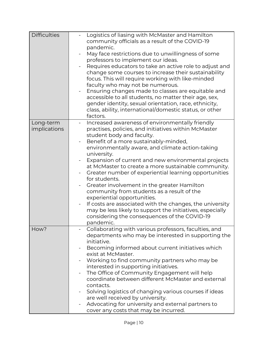| <b>Difficulties</b> | Logistics of liasing with McMaster and Hamilton<br>community officials as a result of the COVID-19<br>pandemic.                |
|---------------------|--------------------------------------------------------------------------------------------------------------------------------|
|                     | May face restrictions due to unwillingness of some                                                                             |
|                     | professors to implement our ideas.<br>Requires educators to take an active role to adjust and                                  |
|                     | change some courses to increase their sustainability                                                                           |
|                     | focus. This will require working with like-minded                                                                              |
|                     | faculty who may not be numerous.                                                                                               |
|                     | Ensuring changes made to classes are equitable and                                                                             |
|                     | accessible to all students, no matter their age, sex,                                                                          |
|                     | gender identity, sexual orientation, race, ethnicity,                                                                          |
|                     | class, ability, international/domestic status, or other<br>factors.                                                            |
| Long-term           | Increased awareness of environmentally friendly                                                                                |
| implications        | practises, policies, and initiatives within McMaster                                                                           |
|                     | student body and faculty.                                                                                                      |
|                     | Benefit of a more sustainably-minded,<br>-                                                                                     |
|                     | environmentally aware, and climate action-taking                                                                               |
|                     | university.                                                                                                                    |
|                     | Expansion of current and new environmental projects<br>at McMaster to create a more sustainable community.                     |
|                     | Greater number of experiential learning opportunities                                                                          |
|                     | for students.                                                                                                                  |
|                     | Greater involvement in the greater Hamilton                                                                                    |
|                     | community from students as a result of the                                                                                     |
|                     | experiential opportunities.                                                                                                    |
|                     | If costs are associated with the changes, the university                                                                       |
|                     | may be less likely to support the initiatives, especially                                                                      |
|                     | considering the consequences of the COVID-19<br>pandemic.                                                                      |
| How?                | Collaborating with various professors, faculties, and                                                                          |
|                     | departments who may be interested in supporting the                                                                            |
|                     | initiative.                                                                                                                    |
|                     | Becoming informed about current initiatives which                                                                              |
|                     | exist at McMaster.                                                                                                             |
|                     | Working to find community partners who may be<br>-                                                                             |
|                     | interested in supporting initiatives.                                                                                          |
|                     | The Office of Community Engagement will help<br>$\overline{\phantom{0}}$<br>coordinate between different McMaster and external |
|                     | contacts.                                                                                                                      |
|                     | Solving logistics of changing various courses if ideas<br>$\overline{\phantom{0}}$                                             |
|                     | are well received by university.                                                                                               |
|                     | Advocating for university and external partners to<br>$\overline{\phantom{0}}$                                                 |
|                     | cover any costs that may be incurred.                                                                                          |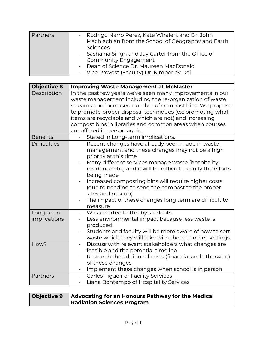| - Rodrigo Narro Perez, Kate Whalen, and Dr. John<br><b>Partners</b><br>Machlachlan from the School of Geography and Earth<br>Sciences<br>- Sashaina Singh and Jay Carter from the Office of<br><b>Community Engagement</b><br>- Dean of Science Dr. Maureen MacDonald<br>- Vice Provost (Faculty) Dr. Kimberley Dej |  |
|---------------------------------------------------------------------------------------------------------------------------------------------------------------------------------------------------------------------------------------------------------------------------------------------------------------------|--|
|---------------------------------------------------------------------------------------------------------------------------------------------------------------------------------------------------------------------------------------------------------------------------------------------------------------------|--|

| <b>Objective 8</b>        | <b>Improving Waste Management at McMaster</b>                                                                                                                                                                                                                                                                                                                                                                                                                                                     |
|---------------------------|---------------------------------------------------------------------------------------------------------------------------------------------------------------------------------------------------------------------------------------------------------------------------------------------------------------------------------------------------------------------------------------------------------------------------------------------------------------------------------------------------|
| Description               | In the past few years we've seen many improvements in our<br>waste management including the re-organization of waste<br>streams and increased number of compost bins. We propose<br>to promote proper disposal techniques (ex: promoting what<br>items are recyclable and which are not) and increasing<br>compost bins in libraries and common areas when courses<br>are offered in person again.                                                                                                |
| <b>Benefits</b>           | Stated in Long-term implications.                                                                                                                                                                                                                                                                                                                                                                                                                                                                 |
| <b>Difficulties</b>       | Recent changes have already been made in waste<br>$\overline{\phantom{0}}$<br>management and these changes may not be a high<br>priority at this time<br>Many different services manage waste (hospitality,<br>residence etc.) and it will be difficult to unify the efforts<br>being made<br>Increased composting bins will require higher costs<br>(due to needing to send the compost to the proper<br>sites and pick up)<br>The impact of these changes long term are difficult to<br>measure |
| Long-term<br>implications | Waste sorted better by students.<br>Less environmental impact because less waste is<br>produced.<br>Students and faculty will be more aware of how to sort<br>waste which they will take with them to other settings.                                                                                                                                                                                                                                                                             |
| How?                      | Discuss with relevant stakeholders what changes are<br>$\overline{\phantom{a}}$<br>feasible and the potential timeline<br>Research the additional costs (financial and otherwise)<br>of these changes<br>Implement these changes when school is in person                                                                                                                                                                                                                                         |
| Partners                  | <b>Carlos Figueir of Facility Services</b><br>$\blacksquare$<br>Liana Bontempo of Hospitality Services<br>$\overline{\phantom{a}}$                                                                                                                                                                                                                                                                                                                                                                |

| Objective 9   Advocating for an Honours Pathway for the Medical |
|-----------------------------------------------------------------|
| <b>Radiation Sciences Program</b>                               |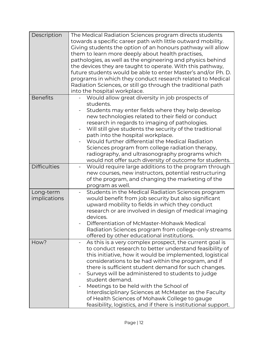| Description               | The Medical Radiation Sciences program directs students<br>towards a specific career path with little outward mobility.<br>Giving students the option of an honours pathway will allow<br>them to learn more deeply about health practises,<br>pathologies, as well as the engineering and physics behind<br>the devices they are taught to operate. With this pathway,<br>future students would be able to enter Master's and/or Ph. D.<br>programs in which they conduct research related to Medical<br>Radiation Sciences, or still go through the traditional path<br>into the hospital workplace.                  |
|---------------------------|-------------------------------------------------------------------------------------------------------------------------------------------------------------------------------------------------------------------------------------------------------------------------------------------------------------------------------------------------------------------------------------------------------------------------------------------------------------------------------------------------------------------------------------------------------------------------------------------------------------------------|
| <b>Benefits</b>           | Would allow great diversity in job prospects of<br>students.<br>Students may enter fields where they help develop<br>new technologies related to their field or conduct<br>research in regards to imaging of pathologies.<br>Will still give students the security of the traditional<br>path into the hospital workplace.<br>Would further differential the Medical Radiation<br>Sciences program from college radiation therapy,<br>radiography, and ultrasonography programs which<br>would not offer such diversity of outcome for students.                                                                        |
| <b>Difficulties</b>       | Would require large additions to the program through<br>new courses, new instructors, potential restructuring<br>of the program, and changing the marketing of the<br>program as well.                                                                                                                                                                                                                                                                                                                                                                                                                                  |
| Long-term<br>implications | Students in the Medical Radiation Sciences program<br>would benefit from job security but also significant<br>upward mobility to fields in which they conduct<br>research or are involved in design of medical imaging<br>devices.<br>Differentiation of McMaster-Mohawk Medical<br>Radiation Sciences program from college-only streams<br>offered by other educational institutions.                                                                                                                                                                                                                                  |
| How?                      | As this is a very complex prospect, the current goal is<br>$\overline{\phantom{0}}$<br>to conduct research to better understand feasibility of<br>this initiative, how it would be implemented, logistical<br>considerations to be had within the program, and if<br>there is sufficient student demand for such changes.<br>Surveys will be administered to students to judge<br>student demand.<br>Meetings to be held with the School of<br>Interdisciplinary Sciences at McMaster as the Faculty<br>of Health Sciences of Mohawk College to gauge<br>feasibility, logistics, and if there is institutional support. |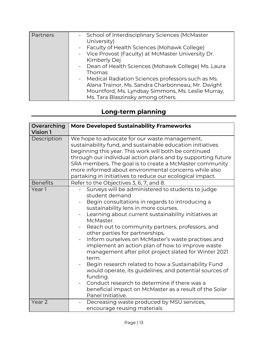| Partners | - School of Interdisciplinary Sciences (McMaster<br>University) |
|----------|-----------------------------------------------------------------|
|          | - Faculty of Health Sciences (Mohawk College)                   |
|          | - Vice Provost (Faculty) at McMaster University Dr.             |
|          | Kimberly Dej                                                    |
|          | - Dean of Health Sciences (Mohawk College) Ms. Laura            |
|          | Thomas                                                          |
|          | - Medical Radiation Sciences professors such as Ms.             |
|          | Alana Trainor, Ms. Sandra Charbonneau, Mr. Dwight               |
|          | Mountford, Ms. Lyndsay Simmons, Ms. Leslie Murray,              |
|          | Ms. Tara Blaszinsky among others.                               |

## **Long-term planning**

| Overarching<br><b>Vision 1</b> | <b>More Developed Sustainability Frameworks</b>                                                                                                                                                                                                                                                                                                                                                                                                                                                                                                                                                                                                                                                                                                                     |
|--------------------------------|---------------------------------------------------------------------------------------------------------------------------------------------------------------------------------------------------------------------------------------------------------------------------------------------------------------------------------------------------------------------------------------------------------------------------------------------------------------------------------------------------------------------------------------------------------------------------------------------------------------------------------------------------------------------------------------------------------------------------------------------------------------------|
| Description                    | We hope to advocate for our waste management,<br>sustainability fund, and sustainable education initiatives<br>beginning this year. This work will both be continued<br>through our individual action plans and by supporting future<br>SRA members. The goal is to create a McMaster community<br>more informed about environmental concerns while also<br>partaking in initiatives to reduce our ecological impact.                                                                                                                                                                                                                                                                                                                                               |
| <b>Benefits</b>                | Refer to the Objectives 3, 6, 7, and 8.                                                                                                                                                                                                                                                                                                                                                                                                                                                                                                                                                                                                                                                                                                                             |
| Year 1                         | Surveys will be administered to students to judge<br>student demand<br>Begin consultations in regards to introducing a<br>sustainability lens in more courses.<br>Learning about current sustainability initiatives at<br>McMaster.<br>Reach out to community partners, professors, and<br>other parties for partnerships.<br>Inform ourselves on McMaster's waste practises and<br>implement an action plan of how to improve waste<br>management after pilot project slated for Winter 2021<br>term.<br>Begin research related to how a Sustainability Fund<br>would operate, its guidelines, and potential sources of<br>funding.<br>Conduct research to determine if there was a<br>beneficial impact on McMaster as a result of the Solar<br>Panel Initiative. |
| Year <sub>2</sub>              | Decreasing waste produced by MSU services,<br>$\overline{\phantom{a}}$<br>encourage reusing materials                                                                                                                                                                                                                                                                                                                                                                                                                                                                                                                                                                                                                                                               |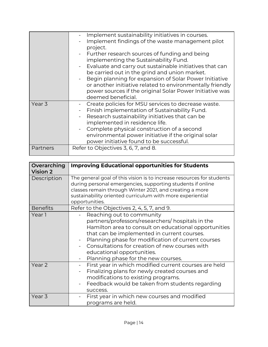| Overarching<br><b>Vision 2</b> | <b>Improving Educational opportunities for Students</b>                                                                                                                                                                                                                                                                                                                                         |
|--------------------------------|-------------------------------------------------------------------------------------------------------------------------------------------------------------------------------------------------------------------------------------------------------------------------------------------------------------------------------------------------------------------------------------------------|
| Description                    | The general goal of this vision is to increase resources for students<br>during personal emergencies, supporting students if online<br>classes remain through Winter 2021, and creating a more<br>sustainability oriented curriculum with more experiential<br>opportunities.                                                                                                                   |
| <b>Benefits</b>                | Refer to the Objectives 2, 4, 5, 7, and 9.                                                                                                                                                                                                                                                                                                                                                      |
| Year 1                         | Reaching out to community<br>partners/professors/researchers/ hospitals in the<br>Hamilton area to consult on educational opportunities<br>that can be implemented in current courses.<br>Planning phase for modification of current courses<br>Consultations for creation of new courses with<br>educational opportunities.<br>Planning phase for the new courses.<br>$\overline{\phantom{0}}$ |
| Year <sub>2</sub>              | First year in which modified current courses are held<br>Finalizing plans for newly created courses and<br>modifications to existing programs.<br>Feedback would be taken from students regarding<br>success.                                                                                                                                                                                   |
| Year <sub>3</sub>              | First year in which new courses and modified<br>programs are held.                                                                                                                                                                                                                                                                                                                              |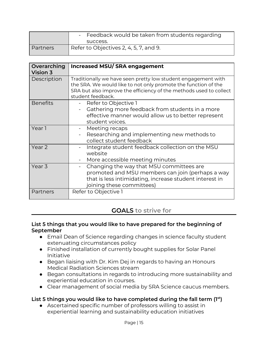|                 | - Feedback would be taken from students regarding<br>success. |
|-----------------|---------------------------------------------------------------|
| <b>Partners</b> | Refer to Objectives 2, 4, 5, 7, and 9.                        |

| Overarching<br><b>Vision 3</b> | <b>Increased MSU/SRA engagement</b>                                                                                                                                                                                        |
|--------------------------------|----------------------------------------------------------------------------------------------------------------------------------------------------------------------------------------------------------------------------|
| Description                    | Traditionally we have seen pretty low student engagement with<br>the SRA. We would like to not only promote the function of the<br>SRA but also improve the efficiency of the methods used to collect<br>student feedback. |
| <b>Benefits</b>                | Refer to Objective 1<br>Gathering more feedback from students in a more<br>effective manner would allow us to better represent<br>student voices.                                                                          |
| Year 1                         | Meeting recaps<br>-<br>Researching and implementing new methods to<br>collect student feedback                                                                                                                             |
| Year <sub>2</sub>              | Integrate student feedback collection on the MSU<br>website<br>More accessible meeting minutes                                                                                                                             |
| Year 3                         | Changing the way that MSU committees are<br>$\overline{\phantom{a}}$<br>promoted and MSU members can join (perhaps a way<br>that is less intimidating, increase student interest in<br>joining these committees)           |
| Partners                       | Refer to Objective 1                                                                                                                                                                                                       |

## **GOALS to strive for**

#### **List 5 things that you would like to have prepared for the beginning of September**

- Email Dean of Science regarding changes in science faculty student extenuating circumstances policy
- Finished installation of currently bought supplies for Solar Panel Initiative
- Began liaising with Dr. Kim Dej in regards to having an Honours Medical Radiation Sciences stream
- Began consultations in regards to introducing more sustainability and experiential education in courses.
- Clear management of social media by SRA Science caucus members.

#### **List 5 things you would like to have completed during the fall term (1 st )**

● Ascertained specific number of professors willing to assist in experiential learning and sustainability education initiatives